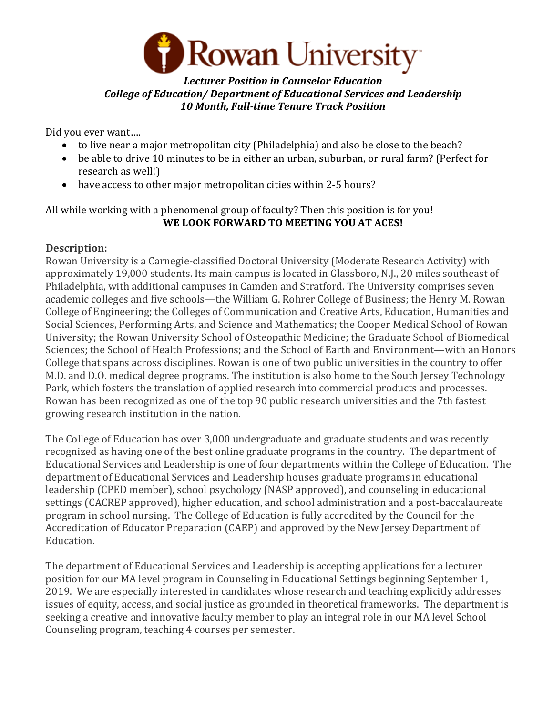

#### *Lecturer Position in Counselor Education* **College of Education/ Department of Educational Services and Leadership** *10 Month, Full-time Tenure Track Position*

Did you ever want....

- to live near a major metropolitan city (Philadelphia) and also be close to the beach?
- be able to drive 10 minutes to be in either an urban, suburban, or rural farm? (Perfect for research as well!)
- have access to other major metropolitan cities within 2-5 hours?

All while working with a phenomenal group of faculty? Then this position is for you! WE LOOK FORWARD TO MEETING YOU AT ACES!

# **Description:**

Rowan University is a Carnegie-classified Doctoral University (Moderate Research Activity) with approximately 19,000 students. Its main campus is located in Glassboro, N.J., 20 miles southeast of Philadelphia, with additional campuses in Camden and Stratford. The University comprises seven academic colleges and five schools—the William G. Rohrer College of Business; the Henry M. Rowan College of Engineering; the Colleges of Communication and Creative Arts, Education, Humanities and Social Sciences, Performing Arts, and Science and Mathematics; the Cooper Medical School of Rowan University; the Rowan University School of Osteopathic Medicine; the Graduate School of Biomedical Sciences; the School of Health Professions; and the School of Earth and Environment—with an Honors College that spans across disciplines. Rowan is one of two public universities in the country to offer M.D. and D.O. medical degree programs. The institution is also home to the South Jersey Technology Park, which fosters the translation of applied research into commercial products and processes. Rowan has been recognized as one of the top 90 public research universities and the 7th fastest growing research institution in the nation.

The College of Education has over 3,000 undergraduate and graduate students and was recently recognized as having one of the best online graduate programs in the country. The department of Educational Services and Leadership is one of four departments within the College of Education. The department of Educational Services and Leadership houses graduate programs in educational leadership (CPED member), school psychology (NASP approved), and counseling in educational settings (CACREP approved), higher education, and school administration and a post-baccalaureate program in school nursing. The College of Education is fully accredited by the Council for the Accreditation of Educator Preparation (CAEP) and approved by the New Jersey Department of Education.

The department of Educational Services and Leadership is accepting applications for a lecturer position for our MA level program in Counseling in Educational Settings beginning September 1, 2019. We are especially interested in candidates whose research and teaching explicitly addresses issues of equity, access, and social justice as grounded in theoretical frameworks. The department is seeking a creative and innovative faculty member to play an integral role in our MA level School Counseling program, teaching 4 courses per semester.